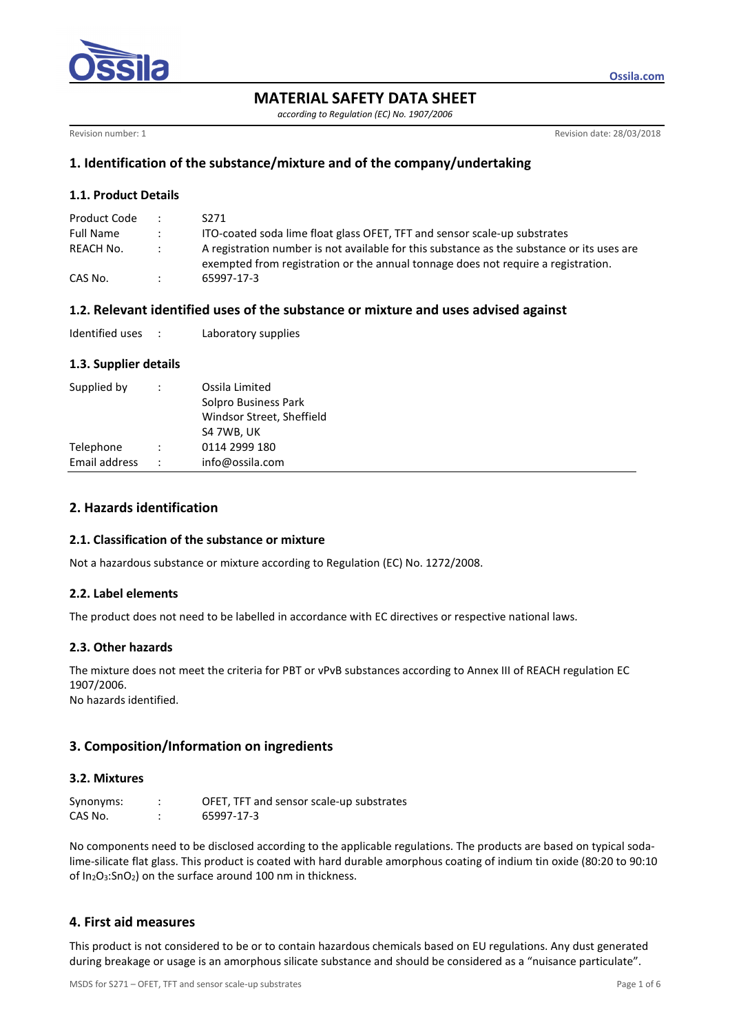

*according to Regulation (EC) No. 1907/2006* 

Revision number: 1 **Revision date: 28/03/2018** 

**Ossila.com**

## **1. Identification of the substance/mixture and of the company/undertaking**

#### **1.1. Product Details**

| Product Code     | $\mathcal{L}$ | S271                                                                                                                                                                            |
|------------------|---------------|---------------------------------------------------------------------------------------------------------------------------------------------------------------------------------|
| <b>Full Name</b> |               | ITO-coated soda lime float glass OFET, TFT and sensor scale-up substrates                                                                                                       |
| REACH No.        | $\mathcal{L}$ | A registration number is not available for this substance as the substance or its uses are<br>exempted from registration or the annual tonnage does not require a registration. |
| CAS No.          |               | 65997-17-3                                                                                                                                                                      |

## **1.2. Relevant identified uses of the substance or mixture and uses advised against**

| Identified uses |  | Laboratory supplies |
|-----------------|--|---------------------|
|-----------------|--|---------------------|

### **1.3. Supplier details**

| Supplied by   | Ossila Limited<br>Solpro Business Park<br>Windsor Street, Sheffield<br>S4 7WB, UK |
|---------------|-----------------------------------------------------------------------------------|
| Telephone     | 0114 2999 180                                                                     |
| Email address | info@ossila.com                                                                   |

## **2. Hazards identification**

#### **2.1. Classification of the substance or mixture**

Not a hazardous substance or mixture according to Regulation (EC) No. 1272/2008.

#### **2.2. Label elements**

The product does not need to be labelled in accordance with EC directives or respective national laws.

#### **2.3. Other hazards**

The mixture does not meet the criteria for PBT or vPvB substances according to Annex III of REACH regulation EC 1907/2006. No hazards identified.

# **3. Composition/Information on ingredients**

## **3.2. Mixtures**

| Synonyms: | OFET, TFT and sensor scale-up substrates |
|-----------|------------------------------------------|
| CAS No.   | 65997-17-3                               |

No components need to be disclosed according to the applicable regulations. The products are based on typical sodalime-silicate flat glass. This product is coated with hard durable amorphous coating of indium tin oxide (80:20 to 90:10 of In2O3:SnO2) on the surface around 100 nm in thickness.

# **4. First aid measures**

This product is not considered to be or to contain hazardous chemicals based on EU regulations. Any dust generated during breakage or usage is an amorphous silicate substance and should be considered as a "nuisance particulate".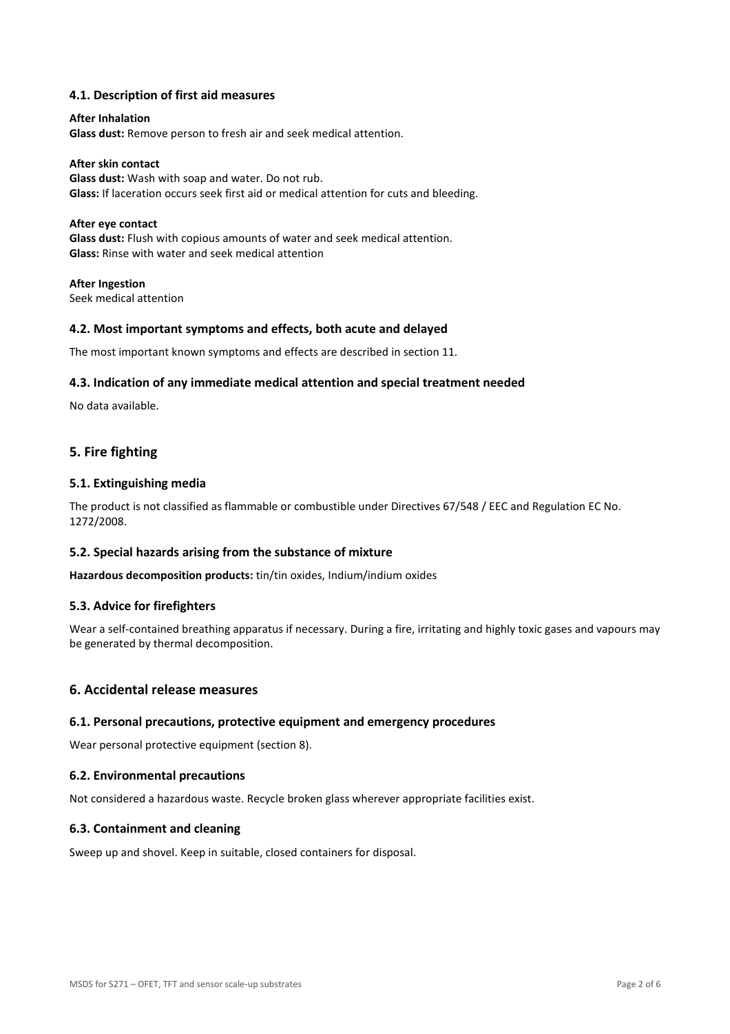### **4.1. Description of first aid measures**

## **After Inhalation Glass dust:** Remove person to fresh air and seek medical attention.

**After skin contact Glass dust:** Wash with soap and water. Do not rub. **Glass:** If laceration occurs seek first aid or medical attention for cuts and bleeding.

#### **After eye contact**

**Glass dust:** Flush with copious amounts of water and seek medical attention. **Glass:** Rinse with water and seek medical attention

**After Ingestion**  Seek medical attention

#### **4.2. Most important symptoms and effects, both acute and delayed**

The most important known symptoms and effects are described in section 11.

#### **4.3. Indication of any immediate medical attention and special treatment needed**

No data available.

### **5. Fire fighting**

#### **5.1. Extinguishing media**

The product is not classified as flammable or combustible under Directives 67/548 / EEC and Regulation EC No. 1272/2008.

#### **5.2. Special hazards arising from the substance of mixture**

**Hazardous decomposition products:** tin/tin oxides, Indium/indium oxides

#### **5.3. Advice for firefighters**

Wear a self-contained breathing apparatus if necessary. During a fire, irritating and highly toxic gases and vapours may be generated by thermal decomposition.

#### **6. Accidental release measures**

#### **6.1. Personal precautions, protective equipment and emergency procedures**

Wear personal protective equipment (section 8).

#### **6.2. Environmental precautions**

Not considered a hazardous waste. Recycle broken glass wherever appropriate facilities exist.

#### **6.3. Containment and cleaning**

Sweep up and shovel. Keep in suitable, closed containers for disposal.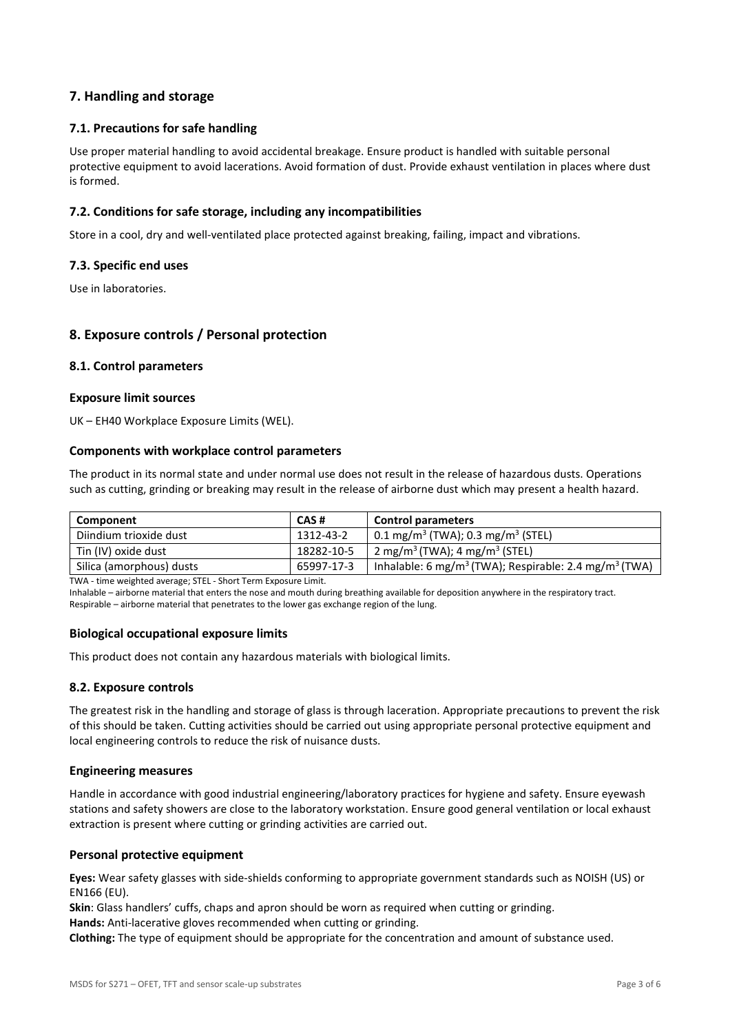## **7. Handling and storage**

### **7.1. Precautions for safe handling**

Use proper material handling to avoid accidental breakage. Ensure product is handled with suitable personal protective equipment to avoid lacerations. Avoid formation of dust. Provide exhaust ventilation in places where dust is formed.

#### **7.2. Conditions for safe storage, including any incompatibilities**

Store in a cool, dry and well-ventilated place protected against breaking, failing, impact and vibrations.

### **7.3. Specific end uses**

Use in laboratories.

## **8. Exposure controls / Personal protection**

#### **8.1. Control parameters**

#### **Exposure limit sources**

UK – EH40 Workplace Exposure Limits (WEL).

#### **Components with workplace control parameters**

The product in its normal state and under normal use does not result in the release of hazardous dusts. Operations such as cutting, grinding or breaking may result in the release of airborne dust which may present a health hazard.

| CAS#       | <b>Control parameters</b>                                                                                                                                                                                                                                                                         |  |
|------------|---------------------------------------------------------------------------------------------------------------------------------------------------------------------------------------------------------------------------------------------------------------------------------------------------|--|
| 1312-43-2  | 0.1 mg/m <sup>3</sup> (TWA); 0.3 mg/m <sup>3</sup> (STEL)                                                                                                                                                                                                                                         |  |
| 18282-10-5 | 2 mg/m <sup>3</sup> (TWA); 4 mg/m <sup>3</sup> (STEL)                                                                                                                                                                                                                                             |  |
| 65997-17-3 | Inhalable: 6 mg/m <sup>3</sup> (TWA); Respirable: 2.4 mg/m <sup>3</sup> (TWA)                                                                                                                                                                                                                     |  |
|            | $\frac{1}{2}$ , and the contract of $\frac{1}{2}$ , $\frac{1}{2}$ , $\frac{1}{2}$ , $\frac{1}{2}$ , $\frac{1}{2}$ , $\frac{1}{2}$ , $\frac{1}{2}$ , $\frac{1}{2}$ , $\frac{1}{2}$ , $\frac{1}{2}$ , $\frac{1}{2}$ , $\frac{1}{2}$ , $\frac{1}{2}$ , $\frac{1}{2}$ , $\frac{1}{2}$ , $\frac{1}{2}$ |  |

TWA - time weighted average; STEL - Short Term Exposure Limit.

Inhalable – airborne material that enters the nose and mouth during breathing available for deposition anywhere in the respiratory tract. Respirable – airborne material that penetrates to the lower gas exchange region of the lung.

#### **Biological occupational exposure limits**

This product does not contain any hazardous materials with biological limits.

#### **8.2. Exposure controls**

The greatest risk in the handling and storage of glass is through laceration. Appropriate precautions to prevent the risk of this should be taken. Cutting activities should be carried out using appropriate personal protective equipment and local engineering controls to reduce the risk of nuisance dusts.

#### **Engineering measures**

Handle in accordance with good industrial engineering/laboratory practices for hygiene and safety. Ensure eyewash stations and safety showers are close to the laboratory workstation. Ensure good general ventilation or local exhaust extraction is present where cutting or grinding activities are carried out.

#### **Personal protective equipment**

**Eyes:** Wear safety glasses with side-shields conforming to appropriate government standards such as NOISH (US) or EN166 (EU).

**Skin**: Glass handlers' cuffs, chaps and apron should be worn as required when cutting or grinding.

**Hands:** Anti-lacerative gloves recommended when cutting or grinding.

**Clothing:** The type of equipment should be appropriate for the concentration and amount of substance used.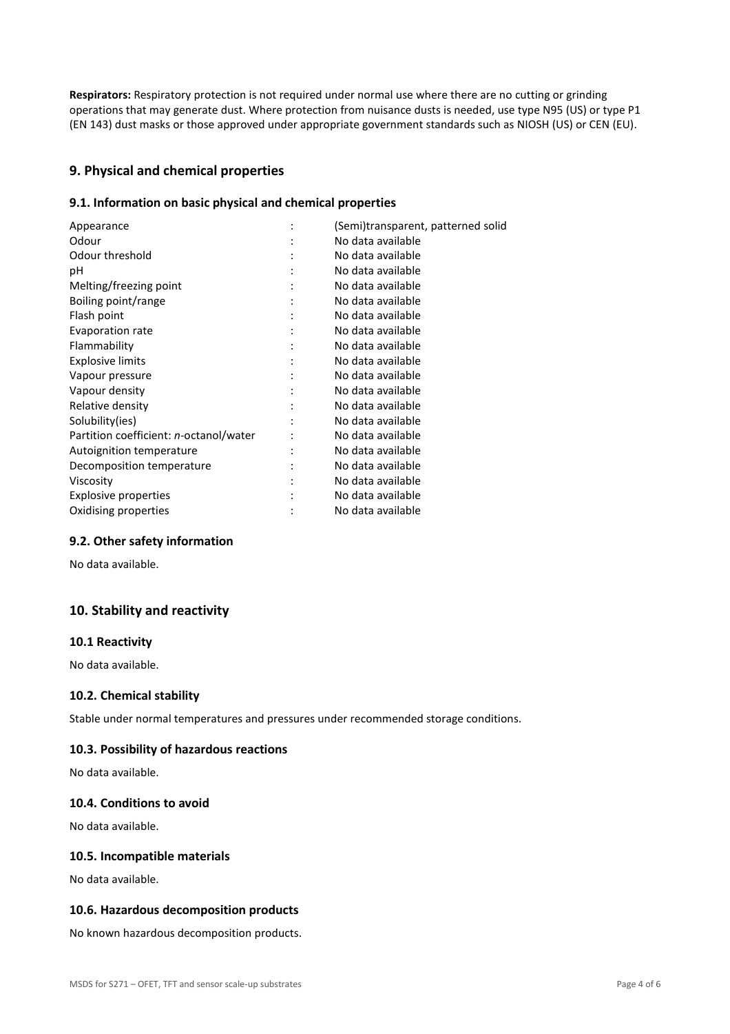**Respirators:** Respiratory protection is not required under normal use where there are no cutting or grinding operations that may generate dust. Where protection from nuisance dusts is needed, use type N95 (US) or type P1 (EN 143) dust masks or those approved under appropriate government standards such as NIOSH (US) or CEN (EU).

## **9. Physical and chemical properties**

### **9.1. Information on basic physical and chemical properties**

| (Semi)transparent, patterned solid |
|------------------------------------|
| No data available                  |
| No data available                  |
| No data available                  |
| No data available                  |
| No data available                  |
| No data available                  |
| No data available                  |
| No data available                  |
| No data available                  |
| No data available                  |
| No data available                  |
| No data available                  |
| No data available                  |
| No data available                  |
| No data available                  |
| No data available                  |
| No data available                  |
| No data available                  |
| No data available                  |
|                                    |

#### **9.2. Other safety information**

No data available.

## **10. Stability and reactivity**

#### **10.1 Reactivity**

No data available.

## **10.2. Chemical stability**

Stable under normal temperatures and pressures under recommended storage conditions.

#### **10.3. Possibility of hazardous reactions**

No data available.

#### **10.4. Conditions to avoid**

No data available.

#### **10.5. Incompatible materials**

No data available.

#### **10.6. Hazardous decomposition products**

No known hazardous decomposition products.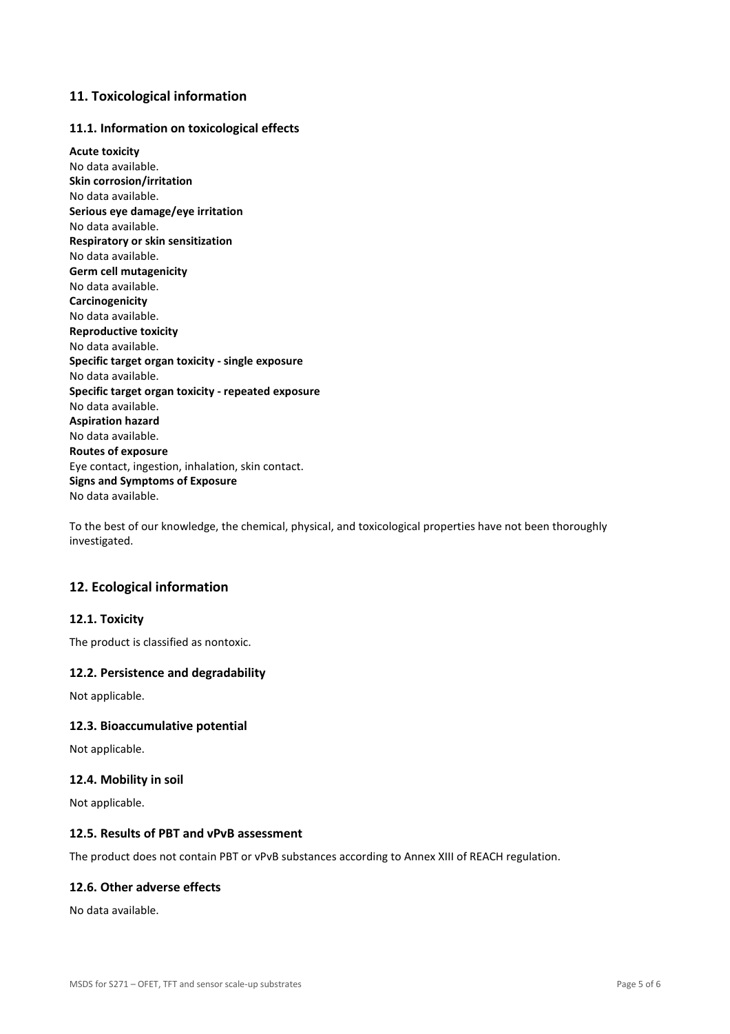## **11. Toxicological information**

### **11.1. Information on toxicological effects**

**Acute toxicity**  No data available. **Skin corrosion/irritation**  No data available. **Serious eye damage/eye irritation**  No data available. **Respiratory or skin sensitization**  No data available. **Germ cell mutagenicity**  No data available. **Carcinogenicity**  No data available. **Reproductive toxicity**  No data available. **Specific target organ toxicity - single exposure**  No data available. **Specific target organ toxicity - repeated exposure**  No data available. **Aspiration hazard**  No data available. **Routes of exposure**  Eye contact, ingestion, inhalation, skin contact. **Signs and Symptoms of Exposure**  No data available.

To the best of our knowledge, the chemical, physical, and toxicological properties have not been thoroughly investigated.

## **12. Ecological information**

#### **12.1. Toxicity**

The product is classified as nontoxic.

#### **12.2. Persistence and degradability**

Not applicable.

#### **12.3. Bioaccumulative potential**

Not applicable.

#### **12.4. Mobility in soil**

Not applicable.

#### **12.5. Results of PBT and vPvB assessment**

The product does not contain PBT or vPvB substances according to Annex XIII of REACH regulation.

#### **12.6. Other adverse effects**

No data available.